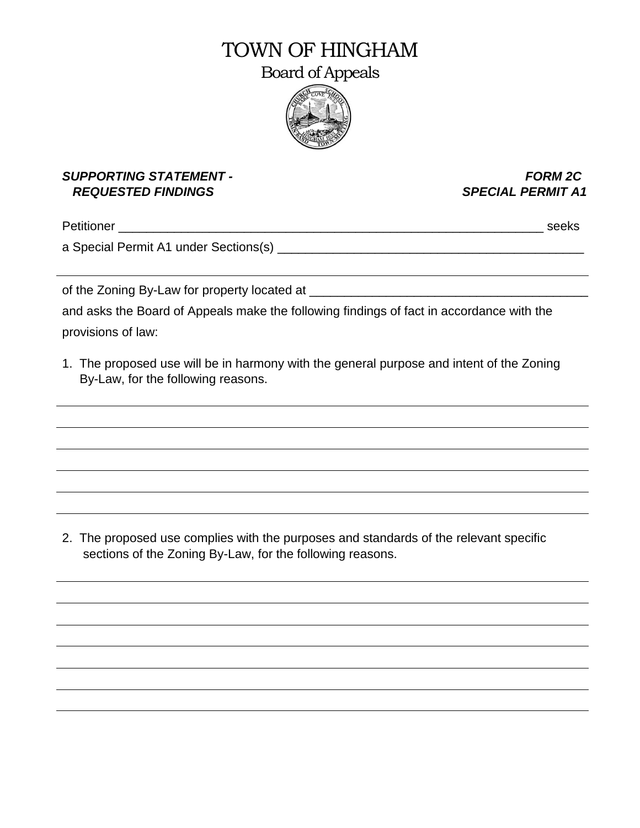# TOWN OF HINGHAM

Board of Appeals



#### *SUPPORTING STATEMENT - FORM 2C REQUESTED FINDINGS SPECIAL PERMIT A1*

Petitioner \_\_\_\_\_\_\_\_\_\_\_\_\_\_\_\_\_\_\_\_\_\_\_\_\_\_\_\_\_\_\_\_\_\_\_\_\_\_\_\_\_\_\_\_\_\_\_\_\_\_\_\_\_\_\_\_\_\_\_\_\_ seeks

a Special Permit A1 under Sections(s) and the contract of the contract of the contract of the contract of the contract of the contract of the contract of the contract of the contract of the contract of the contract of the

of the Zoning By-Law for property located at \_\_\_\_\_\_\_\_\_\_\_\_\_\_\_\_\_\_\_\_\_\_\_\_\_\_\_\_\_\_\_\_\_\_\_\_\_\_\_\_

and asks the Board of Appeals make the following findings of fact in accordance with the provisions of law:

1. The proposed use will be in harmony with the general purpose and intent of the Zoning By-Law, for the following reasons.

2. The proposed use complies with the purposes and standards of the relevant specific sections of the Zoning By-Law, for the following reasons.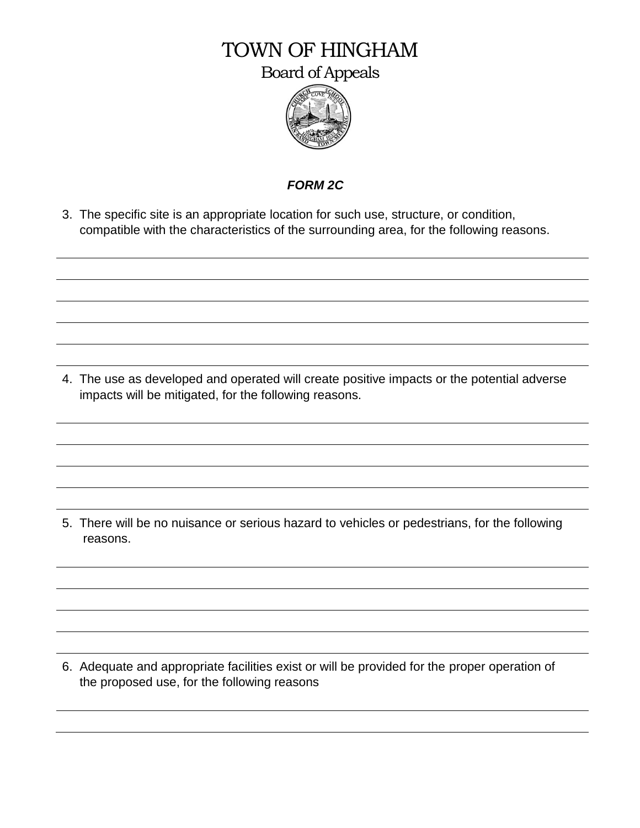## TOWN OF HINGHAM

Board of Appeals



### *FORM 2C*

3. The specific site is an appropriate location for such use, structure, or condition, compatible with the characteristics of the surrounding area, for the following reasons.

4. The use as developed and operated will create positive impacts or the potential adverse impacts will be mitigated, for the following reasons.

5. There will be no nuisance or serious hazard to vehicles or pedestrians, for the following reasons.

6. Adequate and appropriate facilities exist or will be provided for the proper operation of the proposed use, for the following reasons